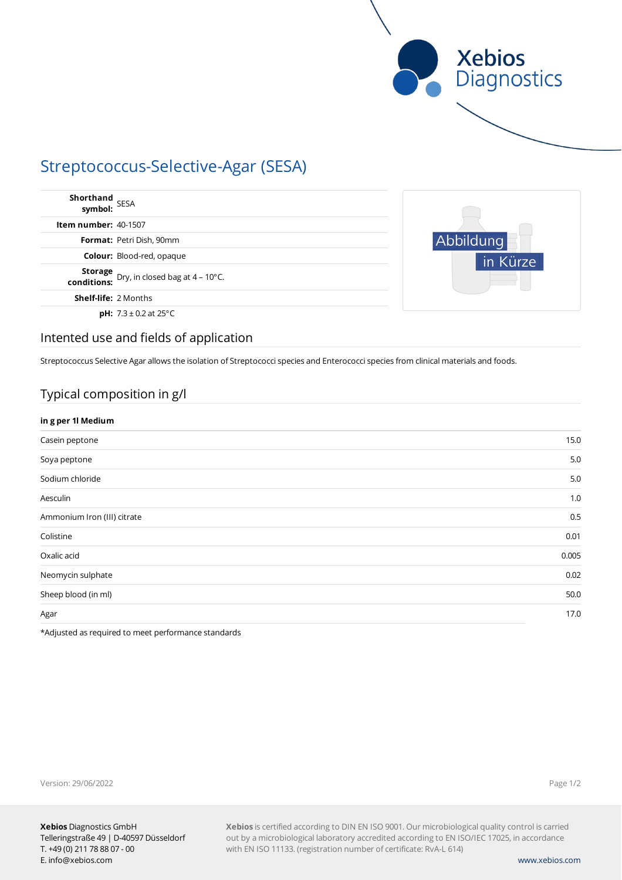

# Streptococcus-Selective-Agar (SESA)

| Shorthand<br>symbol: SESA   |                                                          |
|-----------------------------|----------------------------------------------------------|
| <b>Item number: 40-1507</b> |                                                          |
|                             | <b>Format:</b> Petri Dish, 90mm                          |
|                             | <b>Colour:</b> Blood-red, opaque                         |
|                             | <b>Storage</b> Dry, in closed bag at $4 - 10^{\circ}$ C. |
| <b>Shelf-life: 2 Months</b> |                                                          |
|                             | <b>pH:</b> $7.3 \pm 0.2$ at 25 $^{\circ}$ C              |



### Intented use and fields of application

Streptococcus Selective Agar allows the isolation of Streptococci species and Enterococci species from clinical materials and foods.

# Typical composition in g/l

| in g per 1l Medium          |       |
|-----------------------------|-------|
| Casein peptone              | 15.0  |
| Soya peptone                | 5.0   |
| Sodium chloride             | 5.0   |
| Aesculin                    | 1.0   |
| Ammonium Iron (III) citrate | 0.5   |
| Colistine                   | 0.01  |
| Oxalic acid                 | 0.005 |
| Neomycin sulphate           | 0.02  |
| Sheep blood (in ml)         | 50.0  |
| Agar                        | 17.0  |

\*Adjusted as required to meet performance standards

Version: 29/06/2022

Page 1/2

**Xebios** is certified according to DIN EN ISO 9001. Our microbiological quality control is carried out by a microbiological laboratory accredited according to EN ISO/IEC 17025, in accordance with EN ISO 11133. (registration number of certificate: RvA-L 614)